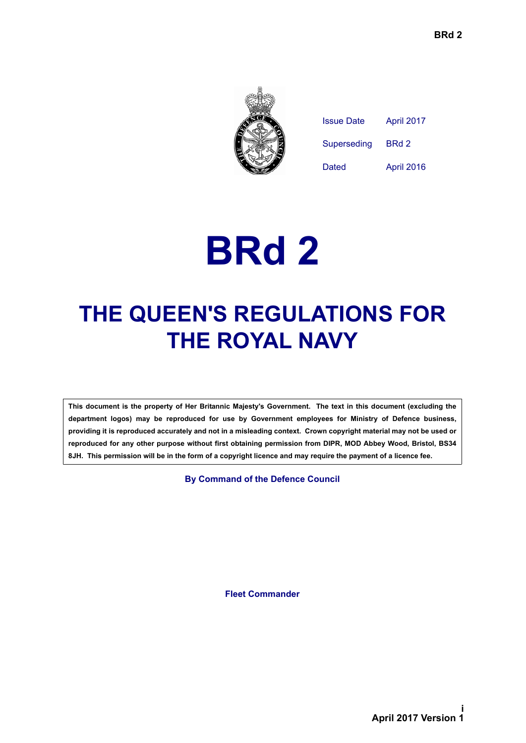

| Issue Date  | April 2017 |
|-------------|------------|
| Superseding | BRd 2      |
| Dated       | April 2016 |

# **BRd 2**

## **THE QUEEN'S REGULATIONS FOR THE ROYAL NAVY**

**This document is the property of Her Britannic Majesty's Government. The text in this document (excluding the department logos) may be reproduced for use by Government employees for Ministry of Defence business, providing it is reproduced accurately and not in a misleading context. Crown copyright material may not be used or reproduced for any other purpose without first obtaining permission from DIPR, MOD Abbey Wood, Bristol, BS34 8JH. This permission will be in the form of a copyright licence and may require the payment of a licence fee.**

**By Command of the Defence Council**

**Fleet Commander**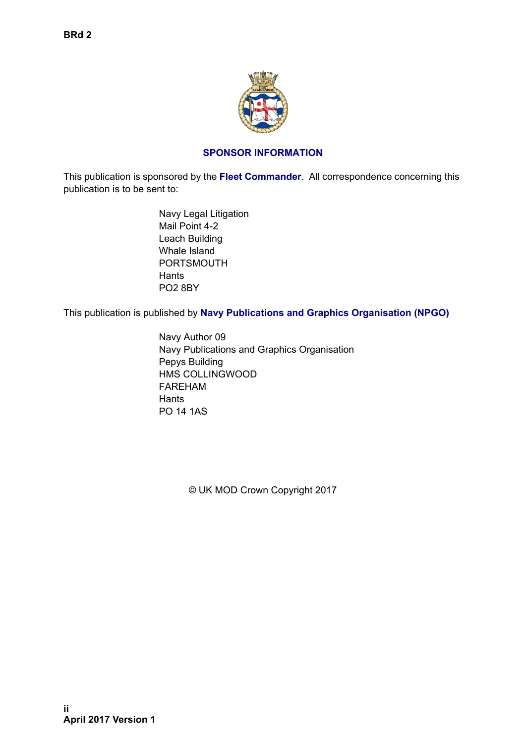

#### **SPONSOR INFORMATION**

<span id="page-1-0"></span>This publication is sponsored by the **Fleet Commander**. All correspondence concerning this publication is to be sent to:

> Navy Legal Litigation Mail Point 4-2 Leach Building Whale Island PORTSMOUTH **Hants** PO2 8BY

This publication is published by **Navy Publications and Graphics Organisation (NPGO)**

Navy Author 09 Navy Publications and Graphics Organisation Pepys Building HMS COLLINGWOOD FAREHAM **Hants** PO 14 1AS

© UK MOD Crown Copyright 2017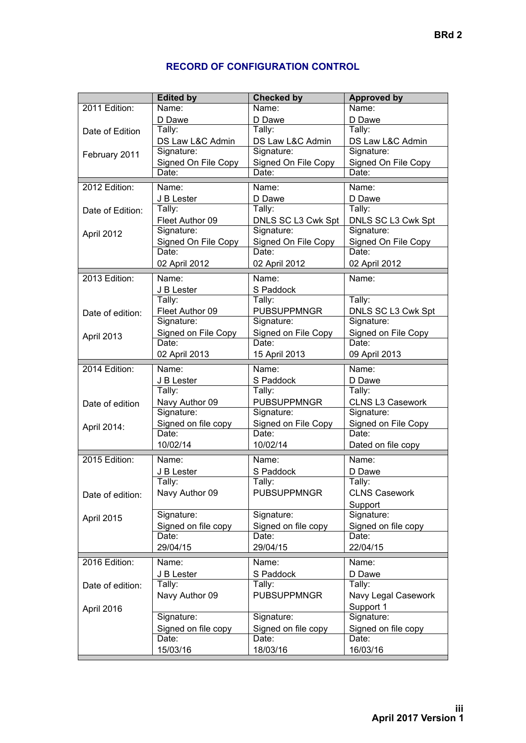|                  | <b>Edited by</b>             | <b>Checked by</b>   | <b>Approved by</b>      |
|------------------|------------------------------|---------------------|-------------------------|
| 2011 Edition:    | $\overline{\mathsf{Name}}$ : | Name:               | Name:                   |
|                  | D Dawe                       | D Dawe              | D Dawe                  |
| Date of Edition  | Tally:                       | Tally:              | Tally:                  |
|                  | DS Law L&C Admin             | DS Law L&C Admin    | DS Law L&C Admin        |
| February 2011    | Signature:                   | Signature:          | Signature:              |
|                  | Signed On File Copy          | Signed On File Copy | Signed On File Copy     |
|                  | Date:                        | Date:               | Date:                   |
| 2012 Edition:    | Name:                        | Name:               | Name:                   |
|                  | J B Lester                   | D Dawe              | D Dawe                  |
| Date of Edition: | Tally:                       | Tally:              | Tally:                  |
|                  | Fleet Author 09              | DNLS SC L3 Cwk Spt  | DNLS SC L3 Cwk Spt      |
| April 2012       | Signature:                   | Signature:          | Signature:              |
|                  | Signed On File Copy          | Signed On File Copy | Signed On File Copy     |
|                  | Date:                        | Date:               | Date:                   |
|                  | 02 April 2012                | 02 April 2012       | 02 April 2012           |
| 2013 Edition:    | Name:                        | Name:               | Name:                   |
|                  | J B Lester                   | S Paddock           |                         |
|                  | Tally:                       | Tally:              | Tally:                  |
|                  | Fleet Author 09              | PUBSUPPMNGR         | DNLS SC L3 Cwk Spt      |
| Date of edition: | Signature:                   | Signature:          | Signature:              |
|                  | Signed on File Copy          | Signed on File Copy | Signed on File Copy     |
| April 2013       | Date:                        | Date:               | Date:                   |
|                  | 02 April 2013                | 15 April 2013       | 09 April 2013           |
|                  |                              |                     |                         |
| 2014 Edition:    | Name:                        | Name:               | Name:                   |
|                  | J B Lester                   | S Paddock           | D Dawe                  |
|                  | Tally:                       | Tally:              | Tally:                  |
| Date of edition  | Navy Author 09               | <b>PUBSUPPMNGR</b>  | <b>CLNS L3 Casework</b> |
|                  | Signature:                   | Signature:          | Signature:              |
| April 2014:      | Signed on file copy          | Signed on File Copy | Signed on File Copy     |
|                  | Date:                        | Date:               | Date:                   |
|                  | 10/02/14                     | 10/02/14            | Dated on file copy      |
| 2015 Edition:    | Name:                        | Name:               | Name:                   |
|                  | J B Lester                   | S Paddock           | D Dawe                  |
|                  | Tally:                       | Tally:              | Tally:                  |
| Date of edition: | Navy Author 09               | <b>PUBSUPPMNGR</b>  | <b>CLNS Casework</b>    |
|                  |                              |                     | Support                 |
| April 2015       | Signature:                   | Signature:          | Signature:              |
|                  | Signed on file copy          | Signed on file copy | Signed on file copy     |
|                  | Date:                        | Date:               | Date:                   |
|                  | 29/04/15                     | 29/04/15            | 22/04/15                |
| 2016 Edition:    | Name:                        | Name:               | Name:                   |
|                  | J B Lester                   | S Paddock           | D Dawe                  |
| Date of edition: | Tally:                       | Tally:              | Tally:                  |
|                  | Navy Author 09               | <b>PUBSUPPMNGR</b>  | Navy Legal Casework     |
| April 2016       |                              |                     | Support 1               |
|                  | Signature:                   | Signature:          | Signature:              |
|                  | Signed on file copy          | Signed on file copy | Signed on file copy     |
|                  | Date:                        | Date:               | Date:                   |
|                  | 15/03/16                     | 18/03/16            | 16/03/16                |
|                  |                              |                     |                         |

#### **RECORD OF CONFIGURATION CONTROL**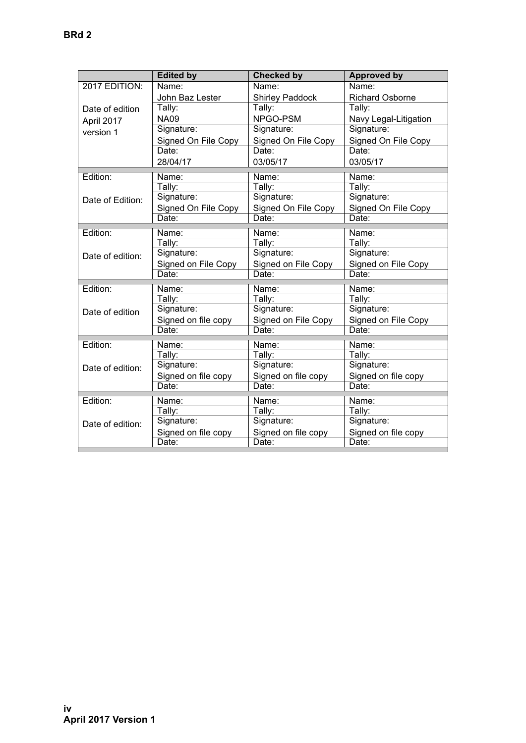|                  | <b>Edited by</b>    | <b>Checked by</b>      | <b>Approved by</b>     |
|------------------|---------------------|------------------------|------------------------|
| 2017 EDITION:    | Name:               | Name:                  | Name:                  |
|                  | John Baz Lester     | <b>Shirley Paddock</b> | <b>Richard Osborne</b> |
| Date of edition  | Tally:              | Tally:                 | Tally:                 |
| April 2017       | <b>NA09</b>         | NPGO-PSM               | Navy Legal-Litigation  |
| version 1        | Signature:          | Signature:             | Signature:             |
|                  | Signed On File Copy | Signed On File Copy    | Signed On File Copy    |
|                  | Date:               | Date:                  | Date:                  |
|                  | 28/04/17            | 03/05/17               | 03/05/17               |
| Edition:         | Name:               | Name:                  | Name:                  |
|                  | Tally:              | Tally:                 | Tally:                 |
| Date of Edition: | Signature:          | Signature:             | Signature:             |
|                  | Signed On File Copy | Signed On File Copy    | Signed On File Copy    |
|                  | Date:               | Date:                  | Date:                  |
| Edition:         | Name:               | Name:                  | Name:                  |
|                  | Tally:              | Tally:                 | Tally:                 |
| Date of edition: | Signature:          | Signature:             | Signature:             |
|                  | Signed on File Copy | Signed on File Copy    | Signed on File Copy    |
|                  | Date:               | Date:                  | Date:                  |
| Edition:         | Name:               | Name:                  | Name:                  |
|                  | Tally:              | Tally:                 | Tally:                 |
| Date of edition  | Signature:          | Signature:             | Signature:             |
|                  | Signed on file copy | Signed on File Copy    | Signed on File Copy    |
|                  | Date:               | Date:                  | Date:                  |
| Edition:         | Name:               | Name:                  | Name:                  |
|                  | Tally:              | Tally:                 | Tally:                 |
| Date of edition: | Signature:          | Signature:             | Signature:             |
|                  | Signed on file copy | Signed on file copy    | Signed on file copy    |
|                  | Date:               | Date:                  | Date:                  |
| Edition:         | Name:               | Name:                  | Name:                  |
|                  | Tally:              | Tally:                 | Tally:                 |
| Date of edition: | Signature:          | Signature:             | Signature:             |
|                  | Signed on file copy | Signed on file copy    | Signed on file copy    |
|                  | Date:               | Date:                  | Date:                  |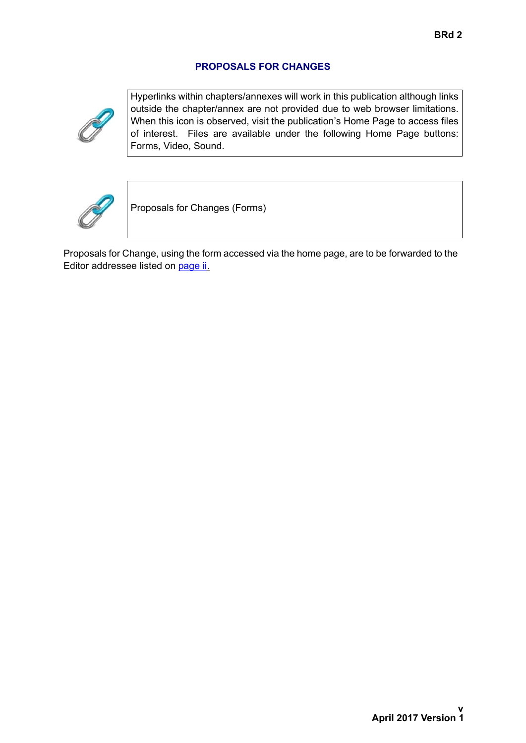#### **PROPOSALS FOR CHANGES**



Hyperlinks within chapters/annexes will work in this publication although links outside the chapter/annex are not provided due to web browser limitations. When this icon is observed, visit the publication's Home Page to access files of interest. Files are available under the following Home Page buttons: Forms, Video, Sound.



Proposals for Changes (Forms)

Proposals for Change, using the form accessed via the home page, are to be forwarded to the Editor addressee listed on [page ii](#page-1-0).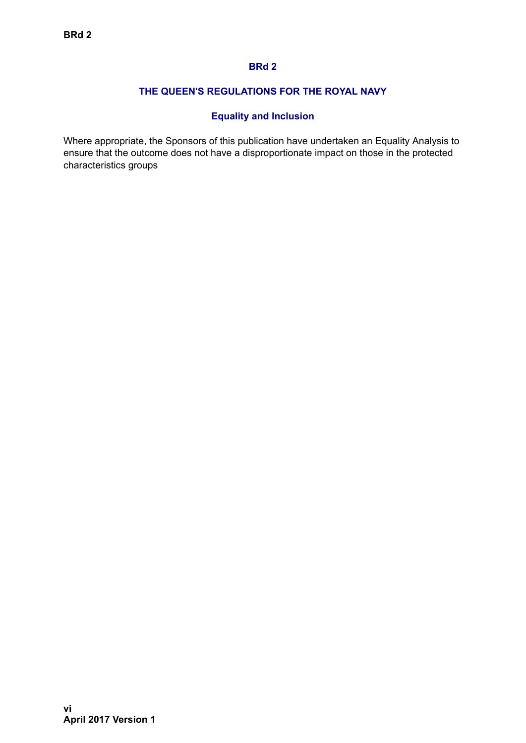#### **BRd 2**

#### **THE QUEEN'S REGULATIONS FOR THE ROYAL NAVY**

#### **Equality and Inclusion**

Where appropriate, the Sponsors of this publication have undertaken an Equality Analysis to ensure that the outcome does not have a disproportionate impact on those in the protected characteristics groups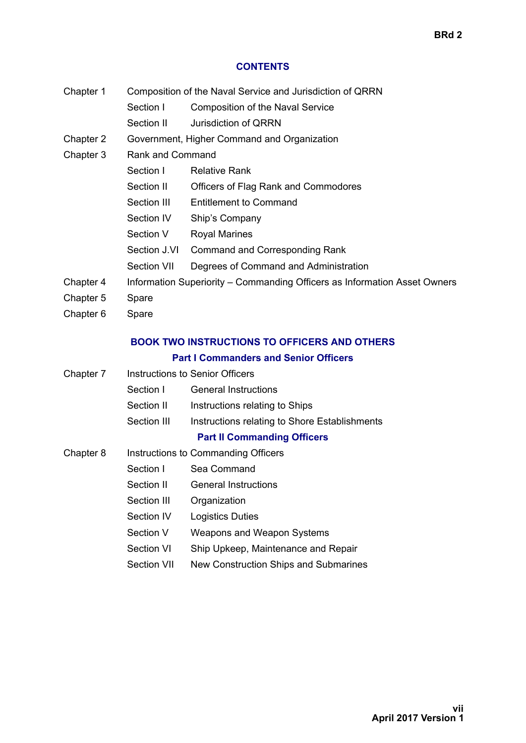#### **CONTENTS**

| Chapter 1 | Composition of the Naval Service and Jurisdiction of QRRN |
|-----------|-----------------------------------------------------------|
|-----------|-----------------------------------------------------------|

- Section I Composition of the Naval Service
- Section II Jurisdiction of QRRN
- Chapter 2 Government, Higher Command and Organization
- Chapter 3 Rank and Command

|           | Section I    | <b>Relative Rank</b>                                                      |
|-----------|--------------|---------------------------------------------------------------------------|
|           | Section II   | Officers of Flag Rank and Commodores                                      |
|           | Section III  | <b>Entitlement to Command</b>                                             |
|           | Section IV   | Ship's Company                                                            |
|           | Section V    | <b>Royal Marines</b>                                                      |
|           | Section J.VI | Command and Corresponding Rank                                            |
|           | Section VII  | Degrees of Command and Administration                                     |
| Chapter 4 |              | Information Superiority – Commanding Officers as Information Asset Owners |
| Chapter 5 | Spare        |                                                                           |
|           |              |                                                                           |

Chapter 6 Spare

### **BOOK TWO INSTRUCTIONS TO OFFICERS AND OTHERS**

#### **Part I Commanders and Senior Officers**

| Chapter 7 |             | Instructions to Senior Officers               |  |  |
|-----------|-------------|-----------------------------------------------|--|--|
|           | Section I   | <b>General Instructions</b>                   |  |  |
|           | Section II  | Instructions relating to Ships                |  |  |
|           | Section III | Instructions relating to Shore Establishments |  |  |
|           |             | <b>Part II Commanding Officers</b>            |  |  |
| Chapter 8 |             | Instructions to Commanding Officers           |  |  |
|           | Section I   | Sea Command                                   |  |  |
|           | Section II  | <b>General Instructions</b>                   |  |  |
|           | Section III | Organization                                  |  |  |
|           | Section IV  | <b>Logistics Duties</b>                       |  |  |
|           | Section V   | <b>Weapons and Weapon Systems</b>             |  |  |
|           |             |                                               |  |  |

- Section VI Ship Upkeep, Maintenance and Repair
- Section VII New Construction Ships and Submarines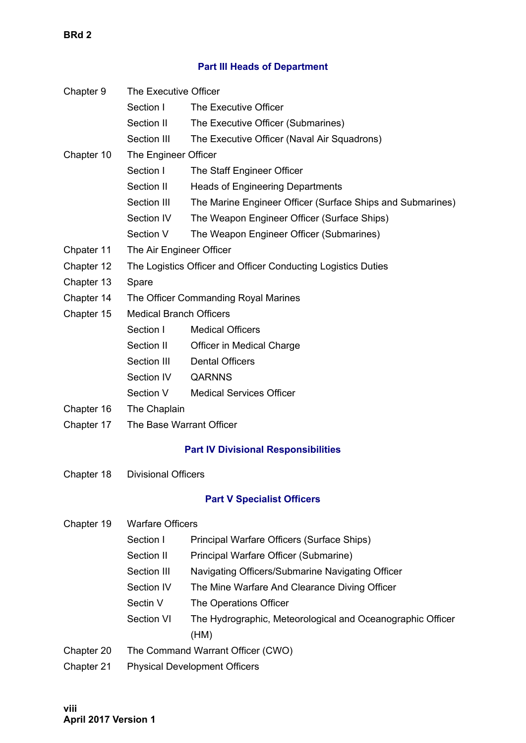**BRd 2**

#### **Part III Heads of Department**

| Chapter 9  | The Executive Officer                |                                                               |  |
|------------|--------------------------------------|---------------------------------------------------------------|--|
|            | Section I<br>The Executive Officer   |                                                               |  |
|            | Section II                           | The Executive Officer (Submarines)                            |  |
|            | Section III                          | The Executive Officer (Naval Air Squadrons)                   |  |
| Chapter 10 | The Engineer Officer                 |                                                               |  |
|            | Section I                            | The Staff Engineer Officer                                    |  |
|            | Section II                           | <b>Heads of Engineering Departments</b>                       |  |
|            | Section III                          | The Marine Engineer Officer (Surface Ships and Submarines)    |  |
|            | Section IV                           | The Weapon Engineer Officer (Surface Ships)                   |  |
|            | Section V                            | The Weapon Engineer Officer (Submarines)                      |  |
| Chpater 11 | The Air Engineer Officer             |                                                               |  |
| Chapter 12 |                                      | The Logistics Officer and Officer Conducting Logistics Duties |  |
| Chapter 13 | Spare                                |                                                               |  |
| Chapter 14 |                                      | The Officer Commanding Royal Marines                          |  |
| Chapter 15 | <b>Medical Branch Officers</b>       |                                                               |  |
|            | Section I                            | <b>Medical Officers</b>                                       |  |
|            | Section II                           | Officer in Medical Charge                                     |  |
|            | Section III                          | <b>Dental Officers</b>                                        |  |
|            | Section IV                           | <b>QARNNS</b>                                                 |  |
|            | Section V                            | <b>Medical Services Officer</b>                               |  |
| Chapter 16 | The Chaplain                         |                                                               |  |
| Chapter 17 | The Base Warrant Officer             |                                                               |  |
|            |                                      | <b>Part IV Divisional Responsibilities</b>                    |  |
| Chapter 18 | <b>Divisional Officers</b>           |                                                               |  |
|            |                                      | <b>Part V Specialist Officers</b>                             |  |
| Chapter 19 | <b>Warfare Officers</b>              |                                                               |  |
|            | Section I                            | Principal Warfare Officers (Surface Ships)                    |  |
|            | Section II                           | Principal Warfare Officer (Submarine)                         |  |
|            | Section III                          | Navigating Officers/Submarine Navigating Officer              |  |
|            | Section IV                           | The Mine Warfare And Clearance Diving Officer                 |  |
|            | Sectin V                             | The Operations Officer                                        |  |
|            | Section VI                           | The Hydrographic, Meteorological and Oceanographic Officer    |  |
|            |                                      | (HM)                                                          |  |
| Chapter 20 | The Command Warrant Officer (CWO)    |                                                               |  |
| Chapter 21 | <b>Physical Development Officers</b> |                                                               |  |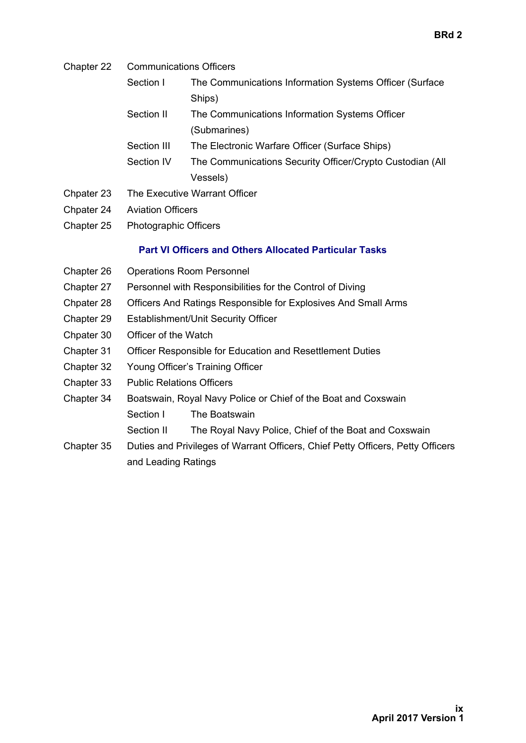- Chapter 22 Communications Officers
	- Section I The Communications Information Systems Officer (Surface Ships)
	- Section II The Communications Information Systems Officer (Submarines)
	- Section III The Electronic Warfare Officer (Surface Ships)
	- Section IV The Communications Security Officer/Crypto Custodian (All Vessels)
- Chpater 23 The Executive Warrant Officer
- Chpater 24 Aviation Officers
- Chapter 25 Photographic Officers

#### **Part VI Officers and Others Allocated Particular Tasks**

- Chapter 26 Operations Room Personnel
- Chapter 27 Personnel with Responsibilities for the Control of Diving
- Chpater 28 Officers And Ratings Responsible for Explosives And Small Arms
- Chapter 29 Establishment/Unit Security Officer
- Chpater 30 Officer of the Watch
- Chapter 31 Officer Responsible for Education and Resettlement Duties
- Chapter 32 Young Officer's Training Officer
- Chapter 33 Public Relations Officers
- Chapter 34 Boatswain, Royal Navy Police or Chief of the Boat and Coxswain Section I The Boatswain
	- Section II The Royal Navy Police, Chief of the Boat and Coxswain
- Chapter 35 Duties and Privileges of Warrant Officers, Chief Petty Officers, Petty Officers and Leading Ratings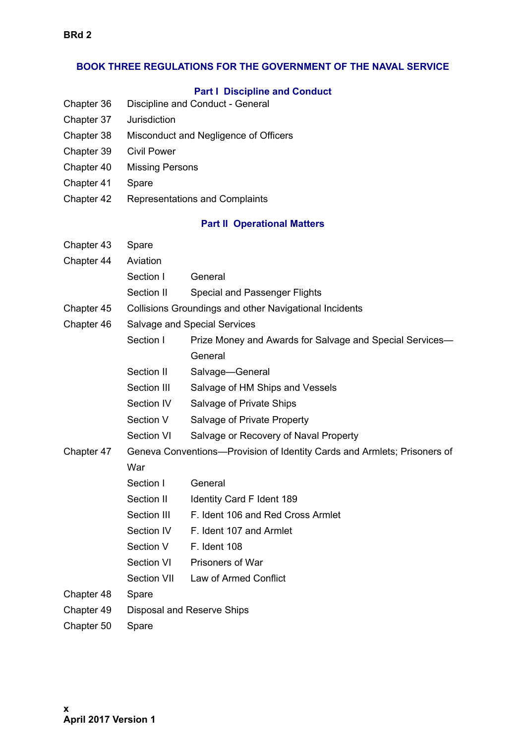#### **BOOK THREE REGULATIONS FOR THE GOVERNMENT OF THE NAVAL SERVICE**

#### **Part I Discipline and Conduct**

- Chapter 36 Discipline and Conduct General
- Chapter 37 Jurisdiction
- Chapter 38 Misconduct and Negligence of Officers
- Chapter 39 Civil Power
- Chapter 40 Missing Persons
- Chapter 41 Spare
- Chapter 42 Representations and Complaints

#### **Part II Operational Matters**

| Chapter 43 | Spare                                                                    |                                                          |
|------------|--------------------------------------------------------------------------|----------------------------------------------------------|
| Chapter 44 | Aviation                                                                 |                                                          |
|            | Section I                                                                | General                                                  |
|            | Section II                                                               | <b>Special and Passenger Flights</b>                     |
| Chapter 45 |                                                                          | Collisions Groundings and other Navigational Incidents   |
| Chapter 46 |                                                                          | <b>Salvage and Special Services</b>                      |
|            | Section I                                                                | Prize Money and Awards for Salvage and Special Services- |
|            |                                                                          | General                                                  |
|            | Section II                                                               | Salvage-General                                          |
|            | Section III                                                              | Salvage of HM Ships and Vessels                          |
|            | Section IV                                                               | Salvage of Private Ships                                 |
|            | Section V                                                                | Salvage of Private Property                              |
|            | Section VI                                                               | Salvage or Recovery of Naval Property                    |
| Chapter 47 | Geneva Conventions-Provision of Identity Cards and Armlets; Prisoners of |                                                          |
|            | War                                                                      |                                                          |
|            | Section I                                                                | General                                                  |
|            | Section II                                                               | Identity Card F Ident 189                                |
|            | Section III                                                              | F. Ident 106 and Red Cross Armlet                        |
|            | Section IV                                                               | F. Ident 107 and Armlet                                  |
|            | Section V                                                                | <b>F.</b> Ident 108                                      |
|            | Section VI                                                               | Prisoners of War                                         |
|            | Section VII                                                              | Law of Armed Conflict                                    |
| Chapter 48 | Spare                                                                    |                                                          |
| Chapter 49 |                                                                          | Disposal and Reserve Ships                               |
| Chapter 50 | Spare                                                                    |                                                          |
|            |                                                                          |                                                          |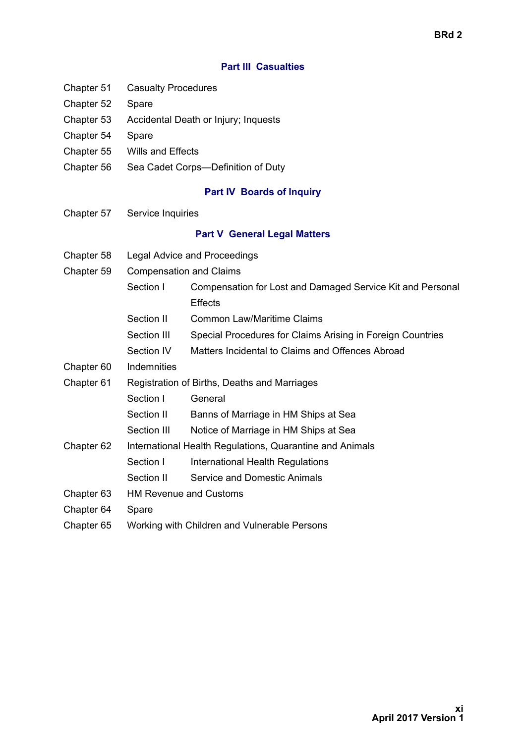#### **Part III Casualties**

- Chapter 51 Casualty Procedures
- Chapter 52 Spare
- Chapter 53 Accidental Death or Injury; Inquests
- Chapter 54 Spare
- Chapter 55 Wills and Effects
- Chapter 56 Sea Cadet Corps—Definition of Duty

#### **Part IV Boards of Inquiry**

Chapter 57 Service Inquiries

#### **Part V General Legal Matters**

- Chapter 58 Legal Advice and Proceedings
- Chapter 59 Compensation and Claims
	- Section I Compensation for Lost and Damaged Service Kit and Personal **Effects**
	- Section II Common Law/Maritime Claims
	- Section III Special Procedures for Claims Arising in Foreign Countries
	- Section IV Matters Incidental to Claims and Offences Abroad
- Chapter 60 Indemnities
- Chapter 61 Registration of Births, Deaths and Marriages
	- Section I General
	- Section II Banns of Marriage in HM Ships at Sea
	- Section III Notice of Marriage in HM Ships at Sea
- Chapter 62 International Health Regulations, Quarantine and Animals
	- Section I International Health Regulations
	- Section II Service and Domestic Animals
- Chapter 63 HM Revenue and Customs
- Chapter 64 Spare
- Chapter 65 Working with Children and Vulnerable Persons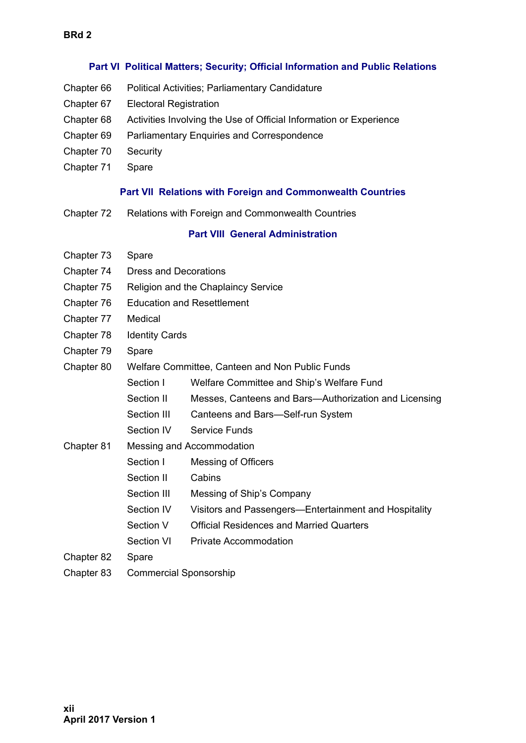#### **Part VI Political Matters; Security; Official Information and Public Relations**

- Chapter 66 Political Activities; Parliamentary Candidature
- Chapter 67 Electoral Registration
- Chapter 68 Activities Involving the Use of Official Information or Experience
- Chapter 69 Parliamentary Enquiries and Correspondence
- Chapter 70 Security
- Chapter 71 Spare

#### **Part VII Relations with Foreign and Commonwealth Countries**

Chapter 72 Relations with Foreign and Commonwealth Countries

#### **Part VIII General Administration**

| Ľ                                                                                                                                                           | r |  |
|-------------------------------------------------------------------------------------------------------------------------------------------------------------|---|--|
| ֖֖֖֧֖֚֚֚֚֚֚֚֚֚֚֚֚֚֚֚֚֚֚֚֚֚֚֡֡֡֡֡֡֡֡֡֡֡֬֝֝<br>and the state of the state of the state of the state of the state of the state of the state of the state of th |   |  |
| l                                                                                                                                                           |   |  |
| I                                                                                                                                                           |   |  |
|                                                                                                                                                             |   |  |
|                                                                                                                                                             |   |  |
| Ľ                                                                                                                                                           | ï |  |
|                                                                                                                                                             |   |  |
| J                                                                                                                                                           |   |  |
| ι<br>֩֘                                                                                                                                                     |   |  |
|                                                                                                                                                             |   |  |
| I<br>I                                                                                                                                                      |   |  |
|                                                                                                                                                             |   |  |
|                                                                                                                                                             |   |  |

| Chapter 73 | Spare                         |                                                       |  |
|------------|-------------------------------|-------------------------------------------------------|--|
| Chapter 74 | <b>Dress and Decorations</b>  |                                                       |  |
| Chapter 75 |                               | Religion and the Chaplaincy Service                   |  |
| Chapter 76 |                               | <b>Education and Resettlement</b>                     |  |
| Chapter 77 | Medical                       |                                                       |  |
| Chapter 78 | <b>Identity Cards</b>         |                                                       |  |
| Chapter 79 | Spare                         |                                                       |  |
| Chapter 80 |                               | Welfare Committee, Canteen and Non Public Funds       |  |
|            | Section I                     | Welfare Committee and Ship's Welfare Fund             |  |
|            | Section II                    | Messes, Canteens and Bars-Authorization and Licensing |  |
|            | Section III                   | Canteens and Bars-Self-run System                     |  |
|            | Section IV                    | <b>Service Funds</b>                                  |  |
| Chapter 81 | Messing and Accommodation     |                                                       |  |
|            | Section I                     | Messing of Officers                                   |  |
|            | Section II                    | Cabins                                                |  |
|            | Section III                   | Messing of Ship's Company                             |  |
|            | Section IV                    | Visitors and Passengers-Entertainment and Hospitality |  |
|            | Section V                     | <b>Official Residences and Married Quarters</b>       |  |
|            | Section VI                    | <b>Private Accommodation</b>                          |  |
| Chapter 82 | Spare                         |                                                       |  |
| Chapter 83 | <b>Commercial Sponsorship</b> |                                                       |  |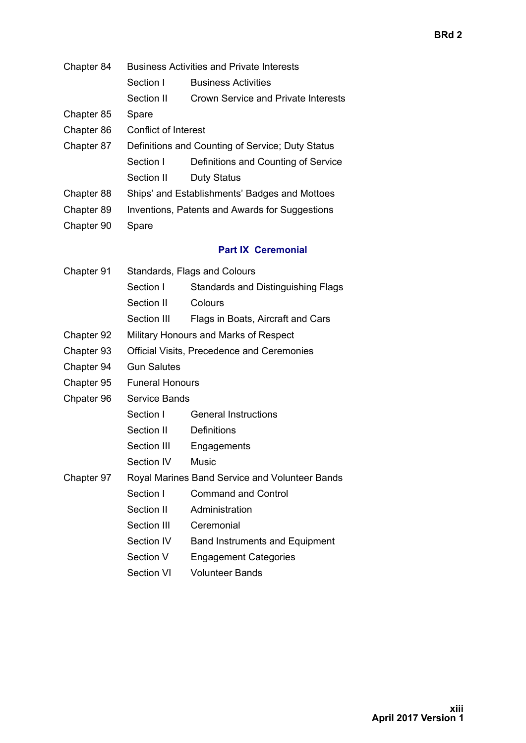- Chapter 84 Business Activities and Private Interests
	- Section I Business Activities
	- Section II Crown Service and Private Interests
- Chapter 85 Spare
- Chapter 86 Conflict of Interest
- Chapter 87 Definitions and Counting of Service; Duty Status Section I Definitions and Counting of Service Section II Duty Status
- Chapter 88 Ships' and Establishments' Badges and Mottoes
- Chapter 89 Inventions, Patents and Awards for Suggestions
- Chapter 90 Spare

#### **Part IX Ceremonial**

| Chapter 91 | Standards, Flags and Colours |                                                |
|------------|------------------------------|------------------------------------------------|
|            | Section I                    | <b>Standards and Distinguishing Flags</b>      |
|            | Section II                   | Colours                                        |
|            | Section III                  | Flags in Boats, Aircraft and Cars              |
| Chapter 92 |                              | Military Honours and Marks of Respect          |
| Chapter 93 |                              | Official Visits, Precedence and Ceremonies     |
| Chapter 94 | <b>Gun Salutes</b>           |                                                |
| Chapter 95 | <b>Funeral Honours</b>       |                                                |
| Chpater 96 | Service Bands                |                                                |
|            | Section I                    | <b>General Instructions</b>                    |
|            | Section II                   | <b>Definitions</b>                             |
|            | Section III                  | Engagements                                    |
|            | Section IV                   | Music                                          |
| Chapter 97 |                              | Royal Marines Band Service and Volunteer Bands |
|            | Section I                    | <b>Command and Control</b>                     |
|            | Section II                   | Administration                                 |
|            | Section III                  | Ceremonial                                     |
|            | Section IV                   | <b>Band Instruments and Equipment</b>          |
|            | Section V                    | <b>Engagement Categories</b>                   |
|            | <b>Section VI</b>            | <b>Volunteer Bands</b>                         |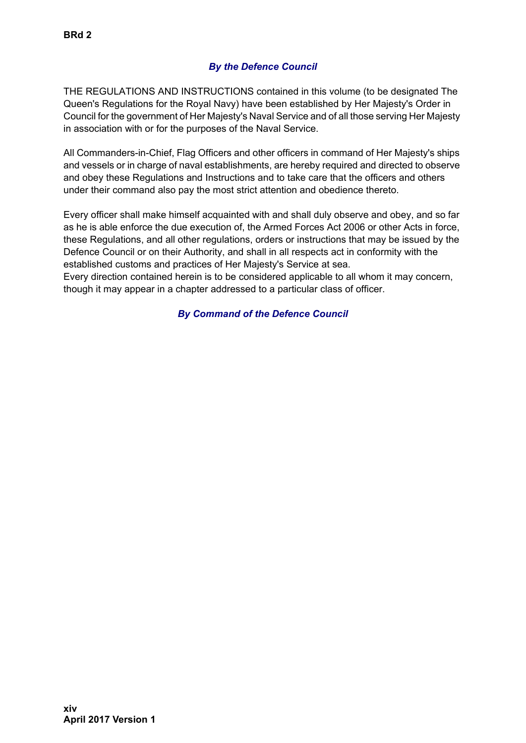#### *By the Defence Council*

THE REGULATIONS AND INSTRUCTIONS contained in this volume (to be designated The Queen's Regulations for the Royal Navy) have been established by Her Majesty's Order in Council for the government of Her Majesty's Naval Service and of all those serving Her Majesty in association with or for the purposes of the Naval Service.

All Commanders-in-Chief, Flag Officers and other officers in command of Her Majesty's ships and vessels or in charge of naval establishments, are hereby required and directed to observe and obey these Regulations and Instructions and to take care that the officers and others under their command also pay the most strict attention and obedience thereto.

Every officer shall make himself acquainted with and shall duly observe and obey, and so far as he is able enforce the due execution of, the Armed Forces Act 2006 or other Acts in force, these Regulations, and all other regulations, orders or instructions that may be issued by the Defence Council or on their Authority, and shall in all respects act in conformity with the established customs and practices of Her Majesty's Service at sea.

Every direction contained herein is to be considered applicable to all whom it may concern, though it may appear in a chapter addressed to a particular class of officer.

#### *By Command of the Defence Council*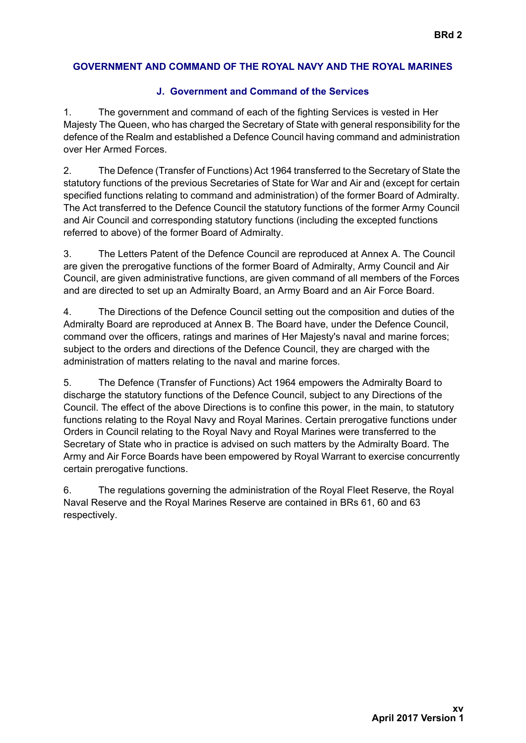#### **GOVERNMENT AND COMMAND OF THE ROYAL NAVY AND THE ROYAL MARINES**

#### **J. Government and Command of the Services**

1. The government and command of each of the fighting Services is vested in Her Majesty The Queen, who has charged the Secretary of State with general responsibility for the defence of the Realm and established a Defence Council having command and administration over Her Armed Forces.

2. The Defence (Transfer of Functions) Act 1964 transferred to the Secretary of State the statutory functions of the previous Secretaries of State for War and Air and (except for certain specified functions relating to command and administration) of the former Board of Admiralty. The Act transferred to the Defence Council the statutory functions of the former Army Council and Air Council and corresponding statutory functions (including the excepted functions referred to above) of the former Board of Admiralty.

3. The Letters Patent of the Defence Council are reproduced at Annex A. The Council are given the prerogative functions of the former Board of Admiralty, Army Council and Air Council, are given administrative functions, are given command of all members of the Forces and are directed to set up an Admiralty Board, an Army Board and an Air Force Board.

4. The Directions of the Defence Council setting out the composition and duties of the Admiralty Board are reproduced at Annex B. The Board have, under the Defence Council, command over the officers, ratings and marines of Her Majesty's naval and marine forces; subject to the orders and directions of the Defence Council, they are charged with the administration of matters relating to the naval and marine forces.

5. The Defence (Transfer of Functions) Act 1964 empowers the Admiralty Board to discharge the statutory functions of the Defence Council, subject to any Directions of the Council. The effect of the above Directions is to confine this power, in the main, to statutory functions relating to the Royal Navy and Royal Marines. Certain prerogative functions under Orders in Council relating to the Royal Navy and Royal Marines were transferred to the Secretary of State who in practice is advised on such matters by the Admiralty Board. The Army and Air Force Boards have been empowered by Royal Warrant to exercise concurrently certain prerogative functions.

6. The regulations governing the administration of the Royal Fleet Reserve, the Royal Naval Reserve and the Royal Marines Reserve are contained in BRs 61, 60 and 63 respectively.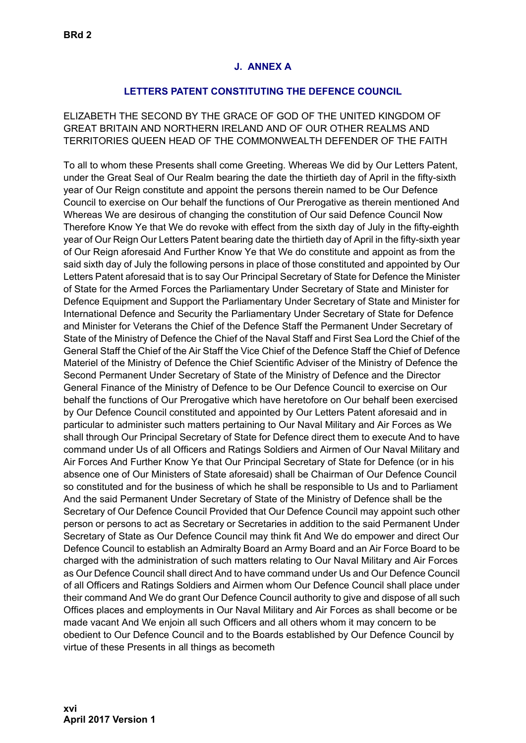#### **J. ANNEX A**

#### **LETTERS PATENT CONSTITUTING THE DEFENCE COUNCIL**

ELIZABETH THE SECOND BY THE GRACE OF GOD OF THE UNITED KINGDOM OF GREAT BRITAIN AND NORTHERN IRELAND AND OF OUR OTHER REALMS AND TERRITORIES QUEEN HEAD OF THE COMMONWEALTH DEFENDER OF THE FAITH

**UNCONTROLLED WHEN PRINTEDUNCONTROLLED WHEN PRINTED**  To all to whom these Presents shall come Greeting. Whereas We did by Our Letters Patent, under the Great Seal of Our Realm bearing the date the thirtieth day of April in the fifty-sixth year of Our Reign constitute and appoint the persons therein named to be Our Defence Council to exercise on Our behalf the functions of Our Prerogative as therein mentioned And Whereas We are desirous of changing the constitution of Our said Defence Council Now Therefore Know Ye that We do revoke with effect from the sixth day of July in the fifty-eighth year of Our Reign Our Letters Patent bearing date the thirtieth day of April in the fifty-sixth year of Our Reign aforesaid And Further Know Ye that We do constitute and appoint as from the said sixth day of July the following persons in place of those constituted and appointed by Our Letters Patent aforesaid that is to say Our Principal Secretary of State for Defence the Minister of State for the Armed Forces the Parliamentary Under Secretary of State and Minister for Defence Equipment and Support the Parliamentary Under Secretary of State and Minister for International Defence and Security the Parliamentary Under Secretary of State for Defence and Minister for Veterans the Chief of the Defence Staff the Permanent Under Secretary of State of the Ministry of Defence the Chief of the Naval Staff and First Sea Lord the Chief of the General Staff the Chief of the Air Staff the Vice Chief of the Defence Staff the Chief of Defence Materiel of the Ministry of Defence the Chief Scientific Adviser of the Ministry of Defence the Second Permanent Under Secretary of State of the Ministry of Defence and the Director General Finance of the Ministry of Defence to be Our Defence Council to exercise on Our behalf the functions of Our Prerogative which have heretofore on Our behalf been exercised by Our Defence Council constituted and appointed by Our Letters Patent aforesaid and in particular to administer such matters pertaining to Our Naval Military and Air Forces as We shall through Our Principal Secretary of State for Defence direct them to execute And to have command under Us of all Officers and Ratings Soldiers and Airmen of Our Naval Military and Air Forces And Further Know Ye that Our Principal Secretary of State for Defence (or in his absence one of Our Ministers of State aforesaid) shall be Chairman of Our Defence Council so constituted and for the business of which he shall be responsible to Us and to Parliament And the said Permanent Under Secretary of State of the Ministry of Defence shall be the Secretary of Our Defence Council Provided that Our Defence Council may appoint such other person or persons to act as Secretary or Secretaries in addition to the said Permanent Under Secretary of State as Our Defence Council may think fit And We do empower and direct Our Defence Council to establish an Admiralty Board an Army Board and an Air Force Board to be charged with the administration of such matters relating to Our Naval Military and Air Forces as Our Defence Council shall direct And to have command under Us and Our Defence Council of all Officers and Ratings Soldiers and Airmen whom Our Defence Council shall place under their command And We do grant Our Defence Council authority to give and dispose of all such Offices places and employments in Our Naval Military and Air Forces as shall become or be made vacant And We enjoin all such Officers and all others whom it may concern to be obedient to Our Defence Council and to the Boards established by Our Defence Council by virtue of these Presents in all things as becometh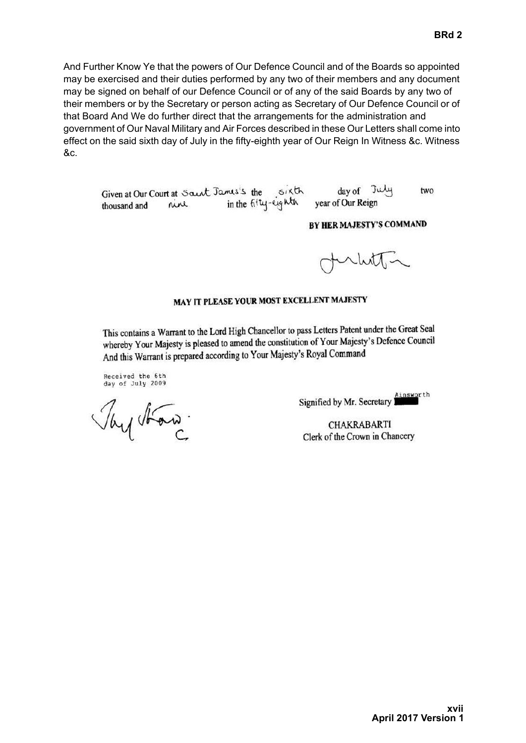And Further Know Ye that the powers of Our Defence Council and of the Boards so appointed may be exercised and their duties performed by any two of their members and any document may be signed on behalf of our Defence Council or of any of the said Boards by any two of their members or by the Secretary or person acting as Secretary of Our Defence Council or of that Board And We do further direct that the arrangements for the administration and government of Our Naval Military and Air Forces described in these Our Letters shall come into effect on the said sixth day of July in the fifty-eighth year of Our Reign In Witness &c. Witness &c.

day of July Given at Our Court at Saint James's the sixth two in the fity-eighth year of Our Reign rine thousand and

#### BY HER MAJESTY'S COMMAND

#### MAY IT PLEASE YOUR MOST EXCELLENT MAJESTY

This contains a Warrant to the Lord High Chancellor to pass Letters Patent under the Great Seal whereby Your Majesty is pleased to amend the constitution of Your Majesty's Defence Council And this Warrant is prepared according to Your Majesty's Royal Command

Received the 6th day of July 2009

Tay ton

Ainsworth Signified by Mr. Secretary

**CHAKRABARTI** Clerk of the Crown in Chancery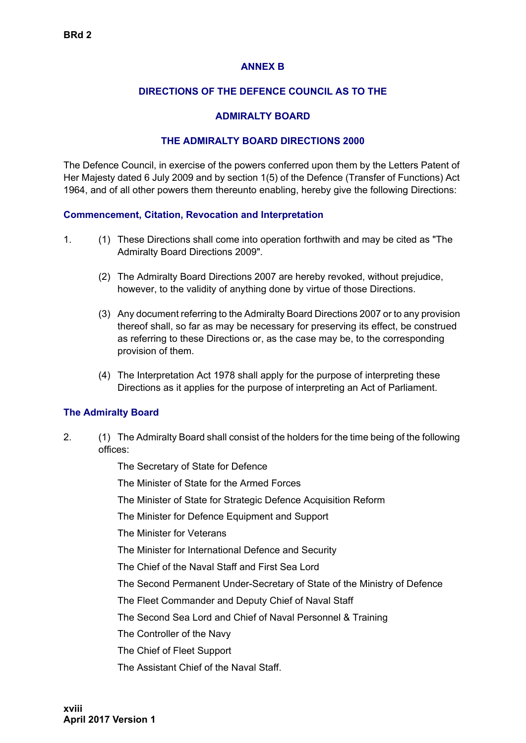#### **ANNEX B**

#### **DIRECTIONS OF THE DEFENCE COUNCIL AS TO THE**

#### **ADMIRALTY BOARD**

#### **THE ADMIRALTY BOARD DIRECTIONS 2000**

The Defence Council, in exercise of the powers conferred upon them by the Letters Patent of Her Majesty dated 6 July 2009 and by section 1(5) of the Defence (Transfer of Functions) Act 1964, and of all other powers them thereunto enabling, hereby give the following Directions:

#### **Commencement, Citation, Revocation and Interpretation**

- 1. (1) These Directions shall come into operation forthwith and may be cited as "The Admiralty Board Directions 2009".
	- (2) The Admiralty Board Directions 2007 are hereby revoked, without prejudice, however, to the validity of anything done by virtue of those Directions.
	- (3) Any document referring to the Admiralty Board Directions 2007 or to any provision thereof shall, so far as may be necessary for preserving its effect, be construed as referring to these Directions or, as the case may be, to the corresponding provision of them.
	- (4) The Interpretation Act 1978 shall apply for the purpose of interpreting these Directions as it applies for the purpose of interpreting an Act of Parliament.

#### **The Admiralty Board**

2. (1) The Admiralty Board shall consist of the holders for the time being of the following offices:

The Secretary of State for Defence

The Minister of State for the Armed Forces

The Minister of State for Strategic Defence Acquisition Reform

The Minister for Defence Equipment and Support

The Minister for Veterans

The Minister for International Defence and Security

The Chief of the Naval Staff and First Sea Lord

The Second Permanent Under-Secretary of State of the Ministry of Defence

The Fleet Commander and Deputy Chief of Naval Staff

The Second Sea Lord and Chief of Naval Personnel & Training

The Controller of the Navy

The Chief of Fleet Support

The Assistant Chief of the Naval Staff.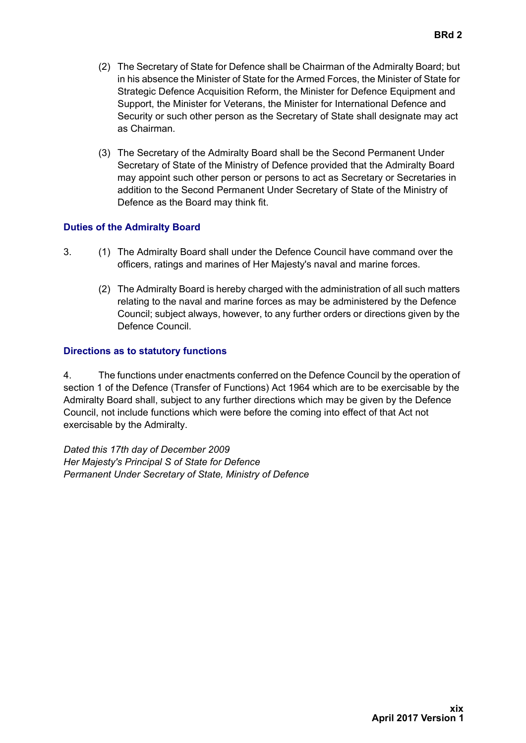- **BRd 2**
- (2) The Secretary of State for Defence shall be Chairman of the Admiralty Board; but in his absence the Minister of State for the Armed Forces, the Minister of State for Strategic Defence Acquisition Reform, the Minister for Defence Equipment and Support, the Minister for Veterans, the Minister for International Defence and Security or such other person as the Secretary of State shall designate may act as Chairman.
- (3) The Secretary of the Admiralty Board shall be the Second Permanent Under Secretary of State of the Ministry of Defence provided that the Admiralty Board may appoint such other person or persons to act as Secretary or Secretaries in addition to the Second Permanent Under Secretary of State of the Ministry of Defence as the Board may think fit.

#### **Duties of the Admiralty Board**

- 3. (1) The Admiralty Board shall under the Defence Council have command over the officers, ratings and marines of Her Majesty's naval and marine forces.
	- (2) The Admiralty Board is hereby charged with the administration of all such matters relating to the naval and marine forces as may be administered by the Defence Council; subject always, however, to any further orders or directions given by the Defence Council.

#### **Directions as to statutory functions**

4. The functions under enactments conferred on the Defence Council by the operation of section 1 of the Defence (Transfer of Functions) Act 1964 which are to be exercisable by the Admiralty Board shall, subject to any further directions which may be given by the Defence Council, not include functions which were before the coming into effect of that Act not exercisable by the Admiralty.

*Dated this 17th day of December 2009 Her Majesty's Principal S of State for Defence Permanent Under Secretary of State, Ministry of Defence*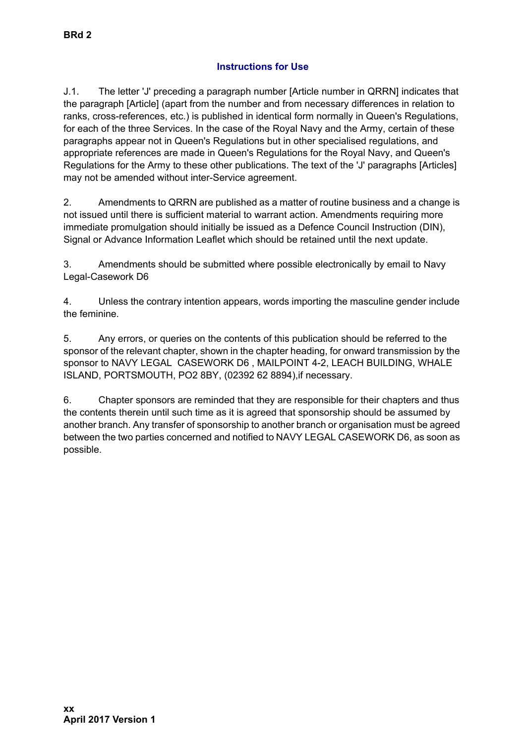#### **Instructions for Use**

J.1. The letter 'J' preceding a paragraph number [Article number in QRRN] indicates that the paragraph [Article] (apart from the number and from necessary differences in relation to ranks, cross-references, etc.) is published in identical form normally in Queen's Regulations, for each of the three Services. In the case of the Royal Navy and the Army, certain of these paragraphs appear not in Queen's Regulations but in other specialised regulations, and appropriate references are made in Queen's Regulations for the Royal Navy, and Queen's Regulations for the Army to these other publications. The text of the 'J' paragraphs [Articles] may not be amended without inter-Service agreement.

2. Amendments to QRRN are published as a matter of routine business and a change is not issued until there is sufficient material to warrant action. Amendments requiring more immediate promulgation should initially be issued as a Defence Council Instruction (DIN), Signal or Advance Information Leaflet which should be retained until the next update.

3. Amendments should be submitted where possible electronically by email to Navy Legal-Casework D6

4. Unless the contrary intention appears, words importing the masculine gender include the feminine.

5. Any errors, or queries on the contents of this publication should be referred to the sponsor of the relevant chapter, shown in the chapter heading, for onward transmission by the sponsor to NAVY LEGAL CASEWORK D6 , MAILPOINT 4-2, LEACH BUILDING, WHALE ISLAND, PORTSMOUTH, PO2 8BY, (02392 62 8894),if necessary.

6. Chapter sponsors are reminded that they are responsible for their chapters and thus the contents therein until such time as it is agreed that sponsorship should be assumed by another branch. Any transfer of sponsorship to another branch or organisation must be agreed between the two parties concerned and notified to NAVY LEGAL CASEWORK D6, as soon as possible.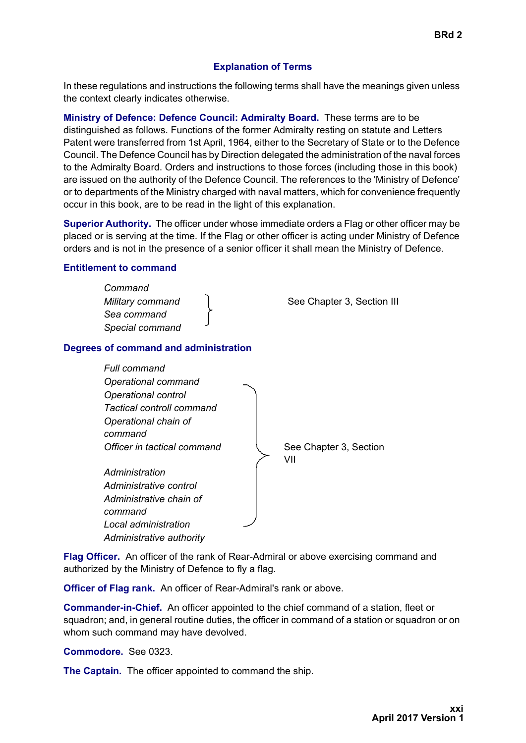#### **Explanation of Terms**

In these regulations and instructions the following terms shall have the meanings given unless the context clearly indicates otherwise.

**Ministry of Defence: Defence Council: Admiralty Board.** These terms are to be distinguished as follows. Functions of the former Admiralty resting on statute and Letters Patent were transferred from 1st April, 1964, either to the Secretary of State or to the Defence Council. The Defence Council has by Direction delegated the administration of the naval forces to the Admiralty Board. Orders and instructions to those forces (including those in this book) are issued on the authority of the Defence Council. The references to the 'Ministry of Defence' or to departments of the Ministry charged with naval matters, which for convenience frequently occur in this book, are to be read in the light of this explanation.

**Superior Authority.** The officer under whose immediate orders a Flag or other officer may be placed or is serving at the time. If the Flag or other officer is acting under Ministry of Defence orders and is not in the presence of a senior officer it shall mean the Ministry of Defence.

#### **Entitlement to command**

| Command<br>Military command<br>Sea command<br>Special command | See Chapter 3, Section III |
|---------------------------------------------------------------|----------------------------|
| Degrees of command and administration                         |                            |
| Full command<br>Operational command                           |                            |



**Flag Officer.** An officer of the rank of Rear-Admiral or above exercising command and authorized by the Ministry of Defence to fly a flag.

**Officer of Flag rank.** An officer of Rear-Admiral's rank or above.

**Commander-in-Chief.** An officer appointed to the chief command of a station, fleet or squadron; and, in general routine duties, the officer in command of a station or squadron or on whom such command may have devolved.

**Commodore.** See 0323.

**The Captain.** The officer appointed to command the ship.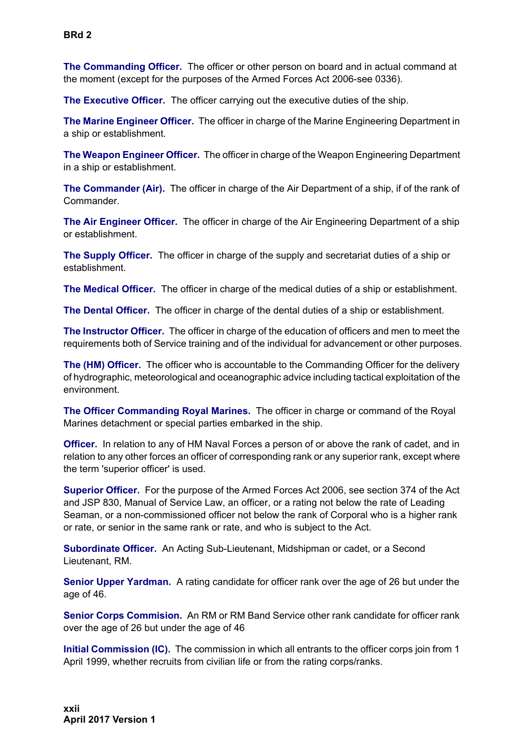**The Commanding Officer.** The officer or other person on board and in actual command at the moment (except for the purposes of the Armed Forces Act 2006-see 0336).

**The Executive Officer.** The officer carrying out the executive duties of the ship.

**The Marine Engineer Officer.** The officer in charge of the Marine Engineering Department in a ship or establishment.

**The Weapon Engineer Officer.** The officer in charge of the Weapon Engineering Department in a ship or establishment.

**The Commander (Air).** The officer in charge of the Air Department of a ship, if of the rank of Commander.

**The Air Engineer Officer.** The officer in charge of the Air Engineering Department of a ship or establishment.

**The Supply Officer.** The officer in charge of the supply and secretariat duties of a ship or establishment.

**The Medical Officer.** The officer in charge of the medical duties of a ship or establishment.

**The Dental Officer.** The officer in charge of the dental duties of a ship or establishment.

**The Instructor Officer.** The officer in charge of the education of officers and men to meet the requirements both of Service training and of the individual for advancement or other purposes.

**The (HM) Officer.** The officer who is accountable to the Commanding Officer for the delivery of hydrographic, meteorological and oceanographic advice including tactical exploitation of the environment.

**The Officer Commanding Royal Marines.** The officer in charge or command of the Royal Marines detachment or special parties embarked in the ship.

**Officer.** In relation to any of HM Naval Forces a person of or above the rank of cadet, and in relation to any other forces an officer of corresponding rank or any superior rank, except where the term 'superior officer' is used.

**Superior Officer.** For the purpose of the Armed Forces Act 2006, see section 374 of the Act and JSP 830, Manual of Service Law, an officer, or a rating not below the rate of Leading Seaman, or a non-commissioned officer not below the rank of Corporal who is a higher rank or rate, or senior in the same rank or rate, and who is subject to the Act.

**Subordinate Officer.** An Acting Sub-Lieutenant, Midshipman or cadet, or a Second Lieutenant, RM.

**Senior Upper Yardman.** A rating candidate for officer rank over the age of 26 but under the age of 46.

**Senior Corps Commision.** An RM or RM Band Service other rank candidate for officer rank over the age of 26 but under the age of 46

**Initial Commission (IC).** The commission in which all entrants to the officer corps join from 1 April 1999, whether recruits from civilian life or from the rating corps/ranks.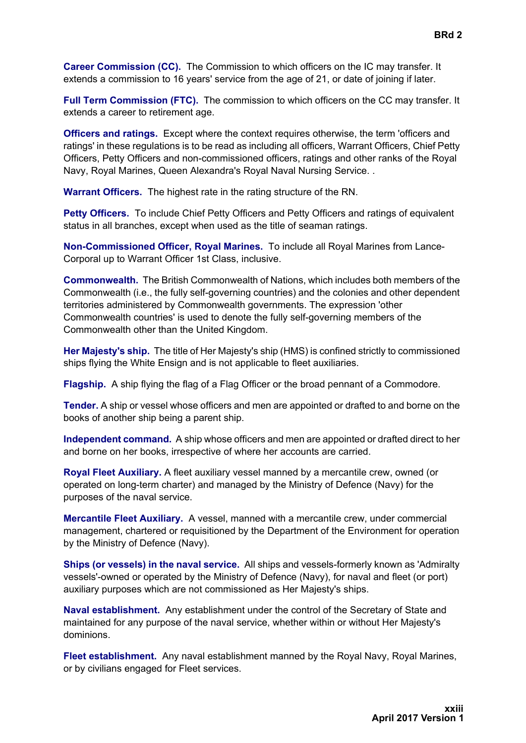**Career Commission (CC).** The Commission to which officers on the IC may transfer. It extends a commission to 16 years' service from the age of 21, or date of joining if later.

**Full Term Commission (FTC).** The commission to which officers on the CC may transfer. It extends a career to retirement age.

**Officers and ratings.** Except where the context requires otherwise, the term 'officers and ratings' in these regulations is to be read as including all officers, Warrant Officers, Chief Petty Officers, Petty Officers and non-commissioned officers, ratings and other ranks of the Royal Navy, Royal Marines, Queen Alexandra's Royal Naval Nursing Service. .

**Warrant Officers.** The highest rate in the rating structure of the RN.

**Petty Officers.** To include Chief Petty Officers and Petty Officers and ratings of equivalent status in all branches, except when used as the title of seaman ratings.

**Non-Commissioned Officer, Royal Marines.** To include all Royal Marines from Lance-Corporal up to Warrant Officer 1st Class, inclusive.

**Commonwealth.** The British Commonwealth of Nations, which includes both members of the Commonwealth (i.e., the fully self-governing countries) and the colonies and other dependent territories administered by Commonwealth governments. The expression 'other Commonwealth countries' is used to denote the fully self-governing members of the Commonwealth other than the United Kingdom.

**Her Majesty's ship.** The title of Her Majesty's ship (HMS) is confined strictly to commissioned ships flying the White Ensign and is not applicable to fleet auxiliaries.

**Flagship.** A ship flying the flag of a Flag Officer or the broad pennant of a Commodore.

**Tender.** A ship or vessel whose officers and men are appointed or drafted to and borne on the books of another ship being a parent ship.

**Independent command.** A ship whose officers and men are appointed or drafted direct to her and borne on her books, irrespective of where her accounts are carried.

**Royal Fleet Auxiliary.** A fleet auxiliary vessel manned by a mercantile crew, owned (or operated on long-term charter) and managed by the Ministry of Defence (Navy) for the purposes of the naval service.

**Mercantile Fleet Auxiliary.** A vessel, manned with a mercantile crew, under commercial management, chartered or requisitioned by the Department of the Environment for operation by the Ministry of Defence (Navy).

**Ships (or vessels) in the naval service.** All ships and vessels-formerly known as 'Admiralty vessels'-owned or operated by the Ministry of Defence (Navy), for naval and fleet (or port) auxiliary purposes which are not commissioned as Her Majesty's ships.

**Naval establishment.** Any establishment under the control of the Secretary of State and maintained for any purpose of the naval service, whether within or without Her Majesty's dominions.

**Fleet establishment.** Any naval establishment manned by the Royal Navy, Royal Marines, or by civilians engaged for Fleet services.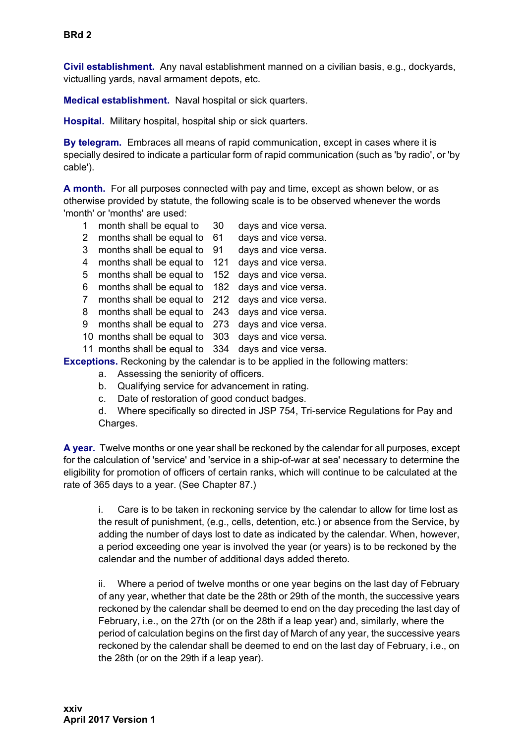**Civil establishment.** Any naval establishment manned on a civilian basis, e.g., dockyards, victualling yards, naval armament depots, etc.

**Medical establishment.** Naval hospital or sick quarters.

**Hospital.** Military hospital, hospital ship or sick quarters.

**By telegram.** Embraces all means of rapid communication, except in cases where it is specially desired to indicate a particular form of rapid communication (such as 'by radio', or 'by cable').

**A month.** For all purposes connected with pay and time, except as shown below, or as otherwise provided by statute, the following scale is to be observed whenever the words 'month' or 'months' are used:

- 1 month shall be equal to 30 days and vice versa.
- 2 months shall be equal to 61 days and vice versa.
	- 3 months shall be equal to 91 days and vice versa.
	- 4 months shall be equal to 121 days and vice versa.
- 5 months shall be equal to 152 days and vice versa.
- 6 months shall be equal to 182 days and vice versa.
- 7 months shall be equal to 212 days and vice versa.
- 8 months shall be equal to 243 days and vice versa.
- 9 months shall be equal to 273 days and vice versa.
- 10 months shall be equal to 303 days and vice versa.
- 11 months shall be equal to 334 days and vice versa.

**Exceptions.** Reckoning by the calendar is to be applied in the following matters:

- a. Assessing the seniority of officers.
- b. Qualifying service for advancement in rating.
- c. Date of restoration of good conduct badges.
- d. Where specifically so directed in JSP 754, Tri-service Regulations for Pay and Charges.

**A year.** Twelve months or one year shall be reckoned by the calendar for all purposes, except for the calculation of 'service' and 'service in a ship-of-war at sea' necessary to determine the eligibility for promotion of officers of certain ranks, which will continue to be calculated at the rate of 365 days to a year. (See Chapter 87.)

i. Care is to be taken in reckoning service by the calendar to allow for time lost as the result of punishment, (e.g., cells, detention, etc.) or absence from the Service, by adding the number of days lost to date as indicated by the calendar. When, however, a period exceeding one year is involved the year (or years) is to be reckoned by the calendar and the number of additional days added thereto.

ii. Where a period of twelve months or one year begins on the last day of February of any year, whether that date be the 28th or 29th of the month, the successive years reckoned by the calendar shall be deemed to end on the day preceding the last day of February, i.e., on the 27th (or on the 28th if a leap year) and, similarly, where the period of calculation begins on the first day of March of any year, the successive years reckoned by the calendar shall be deemed to end on the last day of February, i.e., on the 28th (or on the 29th if a leap year).